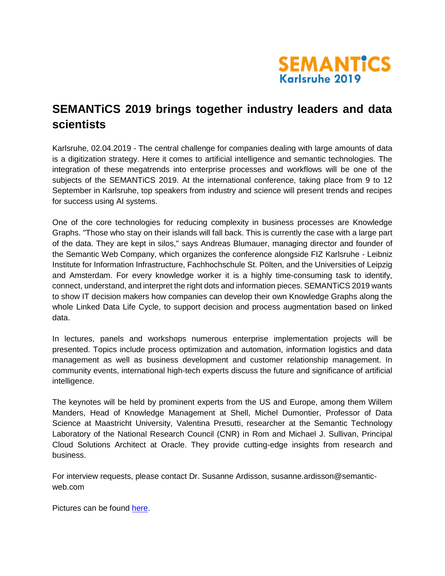

## **SEMANTiCS 2019 brings together industry leaders and data scientists**

Karlsruhe, 02.04.2019 - The central challenge for companies dealing with large amounts of data is a digitization strategy. Here it comes to artificial intelligence and semantic technologies. The integration of these megatrends into enterprise processes and workflows will be one of the subjects of the SEMANTiCS 2019. At the international conference, taking place from 9 to 12 September in Karlsruhe, top speakers from industry and science will present trends and recipes for success using AI systems.

One of the core technologies for reducing complexity in business processes are Knowledge Graphs. "Those who stay on their islands will fall back. This is currently the case with a large part of the data. They are kept in silos," says Andreas Blumauer, managing director and founder of the Semantic Web Company, which organizes the conference alongside FIZ Karlsruhe - Leibniz Institute for Information Infrastructure, Fachhochschule St. Pölten, and the Universities of Leipzig and Amsterdam. For every knowledge worker it is a highly time-consuming task to identify, connect, understand, and interpret the right dots and information pieces. SEMANTiCS 2019 wants to show IT decision makers how companies can develop their own Knowledge Graphs along the whole Linked Data Life Cycle, to support decision and process augmentation based on linked data.

In lectures, panels and workshops numerous enterprise implementation projects will be presented. Topics include process optimization and automation, information logistics and data management as well as business development and customer relationship management. In community events, international high-tech experts discuss the future and significance of artificial intelligence.

The keynotes will be held by prominent experts from the US and Europe, among them Willem Manders, Head of Knowledge Management at Shell, Michel Dumontier, Professor of Data Science at Maastricht University, Valentina Presutti, researcher at the Semantic Technology Laboratory of the National Research Council (CNR) in Rom and Michael J. Sullivan, Principal Cloud Solutions Architect at Oracle. They provide cutting-edge insights from research and business.

For interview requests, please contact Dr. Susanne Ardisson, susanne.ardisson@semanticweb.com

Pictures can be found [here.](https://2019.semantics.cc/press-corner)